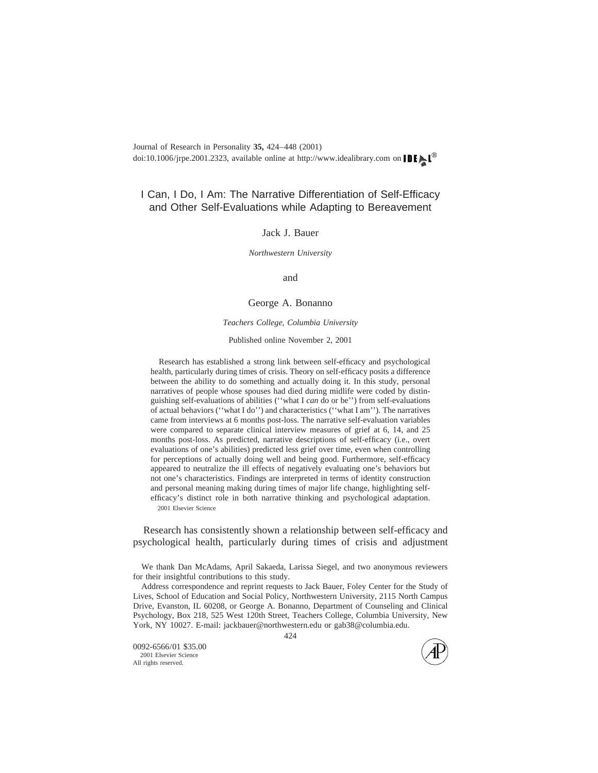# I Can, I Do, I Am: The Narrative Differentiation of Self-Efficacy and Other Self-Evaluations while Adapting to Bereavement

Jack J. Bauer

*Northwestern University*

and

#### George A. Bonanno

*Teachers College, Columbia University*

Published online November 2, 2001

Research has established a strong link between self-efficacy and psychological health, particularly during times of crisis. Theory on self-efficacy posits a difference between the ability to do something and actually doing it. In this study, personal narratives of people whose spouses had died during midlife were coded by distinguishing self-evaluations of abilities (''what I *can* do or be'') from self-evaluations of actual behaviors (''what I do'') and characteristics (''what I am''). The narratives came from interviews at 6 months post-loss. The narrative self-evaluation variables were compared to separate clinical interview measures of grief at 6, 14, and 25 months post-loss. As predicted, narrative descriptions of self-efficacy (i.e., overt evaluations of one's abilities) predicted less grief over time, even when controlling for perceptions of actually doing well and being good. Furthermore, self-efficacy appeared to neutralize the ill effects of negatively evaluating one's behaviors but not one's characteristics. Findings are interpreted in terms of identity construction and personal meaning making during times of major life change, highlighting selfefficacy's distinct role in both narrative thinking and psychological adaptation. 2001 Elsevier Science

Research has consistently shown a relationship between self-efficacy and psychological health, particularly during times of crisis and adjustment

We thank Dan McAdams, April Sakaeda, Larissa Siegel, and two anonymous reviewers for their insightful contributions to this study.

Address correspondence and reprint requests to Jack Bauer, Foley Center for the Study of Lives, School of Education and Social Policy, Northwestern University, 2115 North Campus Drive, Evanston, IL 60208, or George A. Bonanno, Department of Counseling and Clinical Psychology, Box 218, 525 West 120th Street, Teachers College, Columbia University, New York, NY 10027. E-mail: jackbauer@northwestern.edu or gab38@columbia.edu.

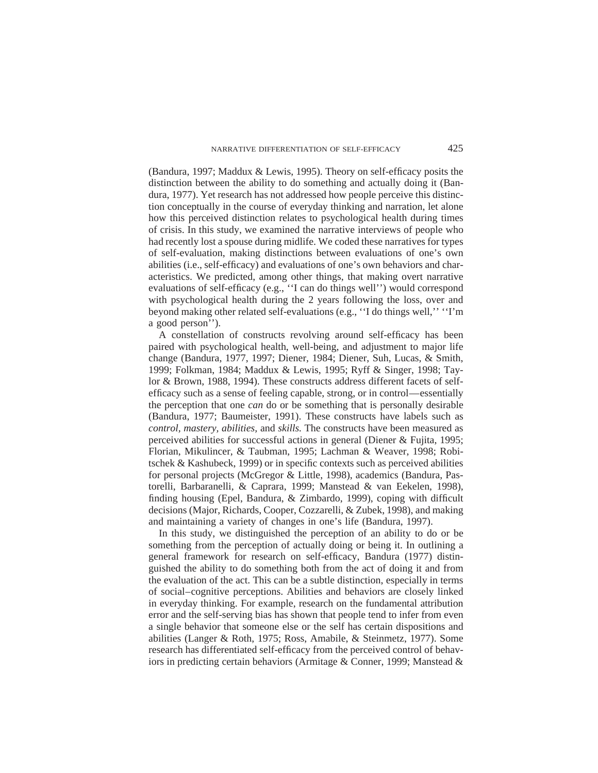(Bandura, 1997; Maddux & Lewis, 1995). Theory on self-efficacy posits the distinction between the ability to do something and actually doing it (Bandura, 1977). Yet research has not addressed how people perceive this distinction conceptually in the course of everyday thinking and narration, let alone how this perceived distinction relates to psychological health during times of crisis. In this study, we examined the narrative interviews of people who had recently lost a spouse during midlife. We coded these narratives for types of self-evaluation, making distinctions between evaluations of one's own abilities (i.e., self-efficacy) and evaluations of one's own behaviors and characteristics. We predicted, among other things, that making overt narrative evaluations of self-efficacy (e.g., ''I can do things well'') would correspond with psychological health during the 2 years following the loss, over and beyond making other related self-evaluations (e.g., ''I do things well,'' ''I'm a good person'').

A constellation of constructs revolving around self-efficacy has been paired with psychological health, well-being, and adjustment to major life change (Bandura, 1977, 1997; Diener, 1984; Diener, Suh, Lucas, & Smith, 1999; Folkman, 1984; Maddux & Lewis, 1995; Ryff & Singer, 1998; Taylor & Brown, 1988, 1994). These constructs address different facets of selfefficacy such as a sense of feeling capable, strong, or in control—essentially the perception that one *can* do or be something that is personally desirable (Bandura, 1977; Baumeister, 1991). These constructs have labels such as *control, mastery, abilities,* and *skills.* The constructs have been measured as perceived abilities for successful actions in general (Diener & Fujita, 1995; Florian, Mikulincer, & Taubman, 1995; Lachman & Weaver, 1998; Robitschek & Kashubeck, 1999) or in specific contexts such as perceived abilities for personal projects (McGregor & Little, 1998), academics (Bandura, Pastorelli, Barbaranelli, & Caprara, 1999; Manstead & van Eekelen, 1998), finding housing (Epel, Bandura, & Zimbardo, 1999), coping with difficult decisions (Major, Richards, Cooper, Cozzarelli, & Zubek, 1998), and making and maintaining a variety of changes in one's life (Bandura, 1997).

In this study, we distinguished the perception of an ability to do or be something from the perception of actually doing or being it. In outlining a general framework for research on self-efficacy, Bandura (1977) distinguished the ability to do something both from the act of doing it and from the evaluation of the act. This can be a subtle distinction, especially in terms of social–cognitive perceptions. Abilities and behaviors are closely linked in everyday thinking. For example, research on the fundamental attribution error and the self-serving bias has shown that people tend to infer from even a single behavior that someone else or the self has certain dispositions and abilities (Langer & Roth, 1975; Ross, Amabile, & Steinmetz, 1977). Some research has differentiated self-efficacy from the perceived control of behaviors in predicting certain behaviors (Armitage & Conner, 1999; Manstead &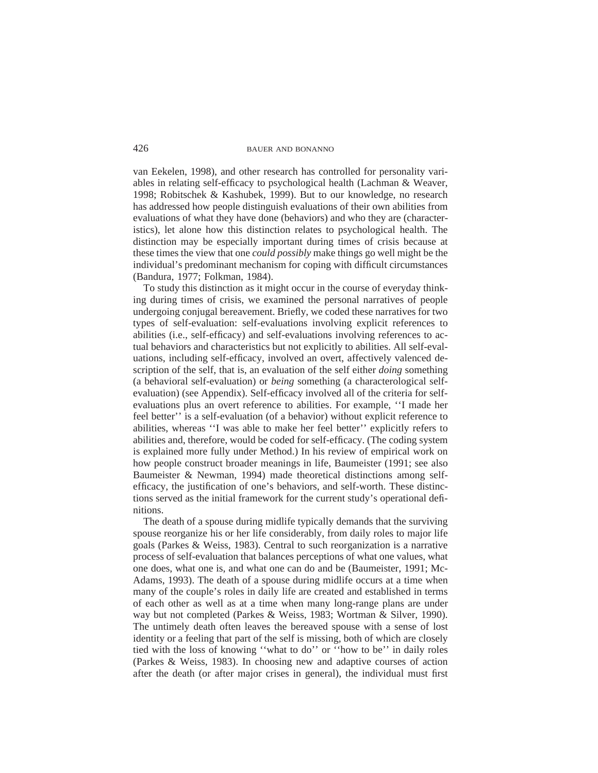van Eekelen, 1998), and other research has controlled for personality variables in relating self-efficacy to psychological health (Lachman & Weaver, 1998; Robitschek & Kashubek, 1999). But to our knowledge, no research has addressed how people distinguish evaluations of their own abilities from evaluations of what they have done (behaviors) and who they are (characteristics), let alone how this distinction relates to psychological health. The distinction may be especially important during times of crisis because at these times the view that one *could possibly* make things go well might be the individual's predominant mechanism for coping with difficult circumstances (Bandura, 1977; Folkman, 1984).

To study this distinction as it might occur in the course of everyday thinking during times of crisis, we examined the personal narratives of people undergoing conjugal bereavement. Briefly, we coded these narratives for two types of self-evaluation: self-evaluations involving explicit references to abilities (i.e., self-efficacy) and self-evaluations involving references to actual behaviors and characteristics but not explicitly to abilities. All self-evaluations, including self-efficacy, involved an overt, affectively valenced description of the self, that is, an evaluation of the self either *doing* something (a behavioral self-evaluation) or *being* something (a characterological selfevaluation) (see Appendix). Self-efficacy involved all of the criteria for selfevaluations plus an overt reference to abilities. For example, ''I made her feel better" is a self-evaluation (of a behavior) without explicit reference to abilities, whereas ''I was able to make her feel better'' explicitly refers to abilities and, therefore, would be coded for self-efficacy. (The coding system is explained more fully under Method.) In his review of empirical work on how people construct broader meanings in life, Baumeister (1991; see also Baumeister & Newman, 1994) made theoretical distinctions among selfefficacy, the justification of one's behaviors, and self-worth. These distinctions served as the initial framework for the current study's operational definitions.

The death of a spouse during midlife typically demands that the surviving spouse reorganize his or her life considerably, from daily roles to major life goals (Parkes & Weiss, 1983). Central to such reorganization is a narrative process of self-evaluation that balances perceptions of what one values, what one does, what one is, and what one can do and be (Baumeister, 1991; Mc-Adams, 1993). The death of a spouse during midlife occurs at a time when many of the couple's roles in daily life are created and established in terms of each other as well as at a time when many long-range plans are under way but not completed (Parkes & Weiss, 1983; Wortman & Silver, 1990). The untimely death often leaves the bereaved spouse with a sense of lost identity or a feeling that part of the self is missing, both of which are closely tied with the loss of knowing ''what to do'' or ''how to be'' in daily roles (Parkes & Weiss, 1983). In choosing new and adaptive courses of action after the death (or after major crises in general), the individual must first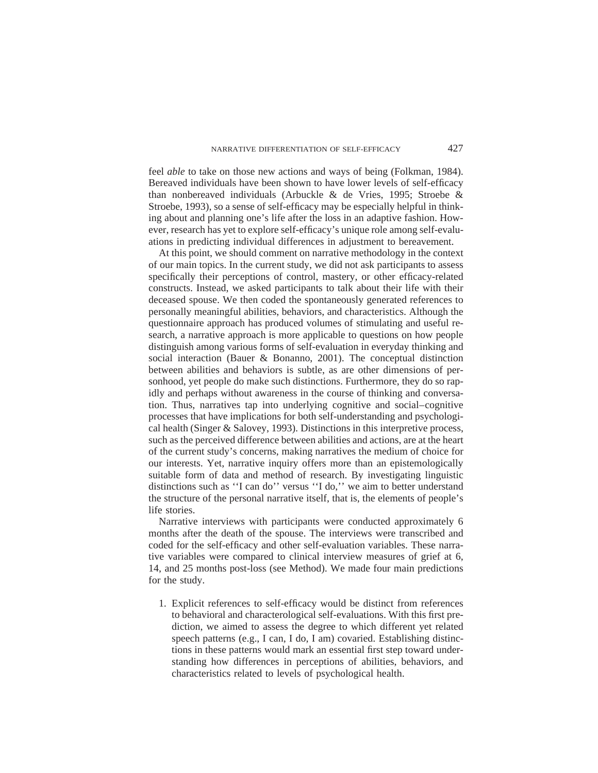feel *able* to take on those new actions and ways of being (Folkman, 1984). Bereaved individuals have been shown to have lower levels of self-efficacy than nonbereaved individuals (Arbuckle & de Vries, 1995; Stroebe & Stroebe, 1993), so a sense of self-efficacy may be especially helpful in thinking about and planning one's life after the loss in an adaptive fashion. However, research has yet to explore self-efficacy's unique role among self-evaluations in predicting individual differences in adjustment to bereavement.

At this point, we should comment on narrative methodology in the context of our main topics. In the current study, we did not ask participants to assess specifically their perceptions of control, mastery, or other efficacy-related constructs. Instead, we asked participants to talk about their life with their deceased spouse. We then coded the spontaneously generated references to personally meaningful abilities, behaviors, and characteristics. Although the questionnaire approach has produced volumes of stimulating and useful research, a narrative approach is more applicable to questions on how people distinguish among various forms of self-evaluation in everyday thinking and social interaction (Bauer & Bonanno, 2001). The conceptual distinction between abilities and behaviors is subtle, as are other dimensions of personhood, yet people do make such distinctions. Furthermore, they do so rapidly and perhaps without awareness in the course of thinking and conversation. Thus, narratives tap into underlying cognitive and social–cognitive processes that have implications for both self-understanding and psychological health (Singer & Salovey, 1993). Distinctions in this interpretive process, such as the perceived difference between abilities and actions, are at the heart of the current study's concerns, making narratives the medium of choice for our interests. Yet, narrative inquiry offers more than an epistemologically suitable form of data and method of research. By investigating linguistic distinctions such as ''I can do'' versus ''I do,'' we aim to better understand the structure of the personal narrative itself, that is, the elements of people's life stories.

Narrative interviews with participants were conducted approximately 6 months after the death of the spouse. The interviews were transcribed and coded for the self-efficacy and other self-evaluation variables. These narrative variables were compared to clinical interview measures of grief at 6, 14, and 25 months post-loss (see Method). We made four main predictions for the study.

1. Explicit references to self-efficacy would be distinct from references to behavioral and characterological self-evaluations. With this first prediction, we aimed to assess the degree to which different yet related speech patterns (e.g., I can, I do, I am) covaried. Establishing distinctions in these patterns would mark an essential first step toward understanding how differences in perceptions of abilities, behaviors, and characteristics related to levels of psychological health.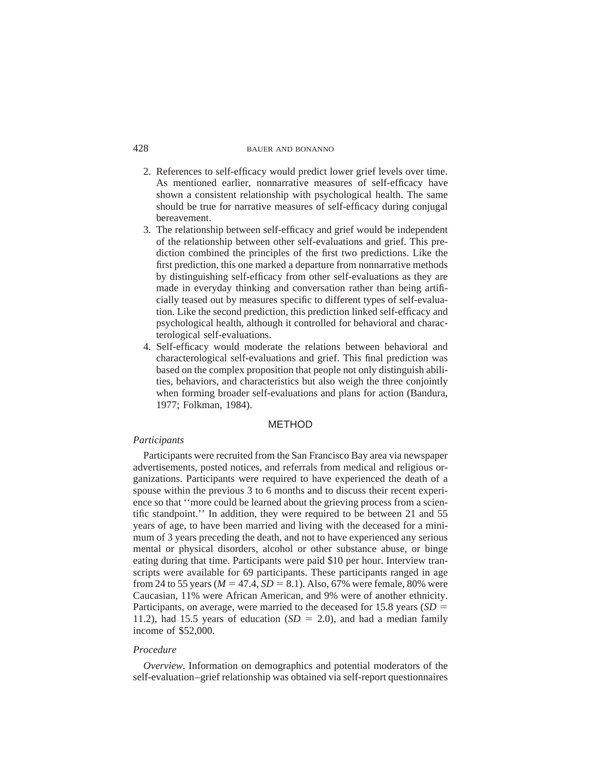- 2. References to self-efficacy would predict lower grief levels over time. As mentioned earlier, nonnarrative measures of self-efficacy have shown a consistent relationship with psychological health. The same should be true for narrative measures of self-efficacy during conjugal bereavement.
- 3. The relationship between self-efficacy and grief would be independent of the relationship between other self-evaluations and grief. This prediction combined the principles of the first two predictions. Like the first prediction, this one marked a departure from nonnarrative methods by distinguishing self-efficacy from other self-evaluations as they are made in everyday thinking and conversation rather than being artificially teased out by measures specific to different types of self-evaluation. Like the second prediction, this prediction linked self-efficacy and psychological health, although it controlled for behavioral and characterological self-evaluations.
- 4. Self-efficacy would moderate the relations between behavioral and characterological self-evaluations and grief. This final prediction was based on the complex proposition that people not only distinguish abilities, behaviors, and characteristics but also weigh the three conjointly when forming broader self-evaluations and plans for action (Bandura, 1977; Folkman, 1984).

# METHOD

## *Participants*

Participants were recruited from the San Francisco Bay area via newspaper advertisements, posted notices, and referrals from medical and religious organizations. Participants were required to have experienced the death of a spouse within the previous 3 to 6 months and to discuss their recent experience so that "more could be learned about the grieving process from a scientific standpoint.'' In addition, they were required to be between 21 and 55 years of age, to have been married and living with the deceased for a minimum of 3 years preceding the death, and not to have experienced any serious mental or physical disorders, alcohol or other substance abuse, or binge eating during that time. Participants were paid \$10 per hour. Interview transcripts were available for 69 participants. These participants ranged in age from 24 to 55 years ( $M = 47.4$ ,  $SD = 8.1$ ). Also, 67% were female, 80% were Caucasian, 11% were African American, and 9% were of another ethnicity. Participants, on average, were married to the deceased for 15.8 years ( $SD =$ 11.2), had 15.5 years of education  $(SD = 2.0)$ , and had a median family income of \$52,000.

## *Procedure*

*Overview.* Information on demographics and potential moderators of the self-evaluation–grief relationship was obtained via self-report questionnaires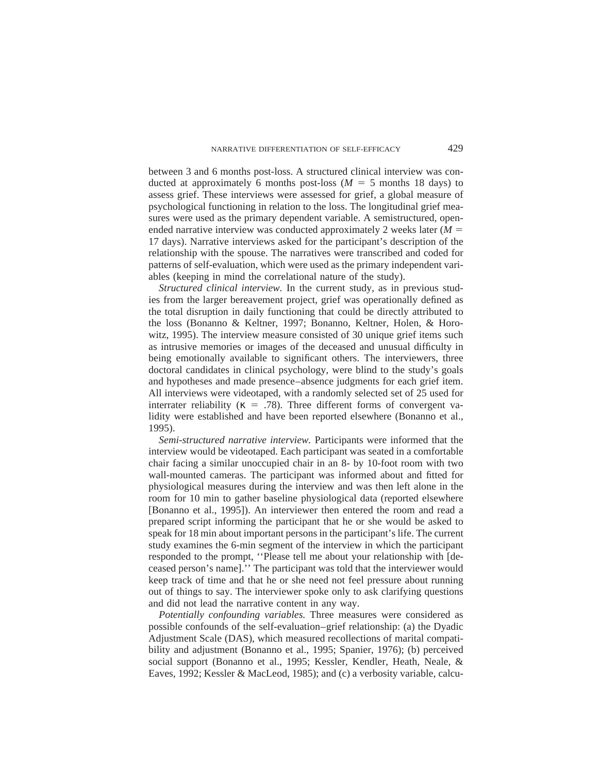between 3 and 6 months post-loss. A structured clinical interview was conducted at approximately 6 months post-loss ( $M = 5$  months 18 days) to assess grief. These interviews were assessed for grief, a global measure of psychological functioning in relation to the loss. The longitudinal grief measures were used as the primary dependent variable. A semistructured, openended narrative interview was conducted approximately 2 weeks later  $(M =$ 17 days). Narrative interviews asked for the participant's description of the relationship with the spouse. The narratives were transcribed and coded for patterns of self-evaluation, which were used as the primary independent variables (keeping in mind the correlational nature of the study).

*Structured clinical interview.* In the current study, as in previous studies from the larger bereavement project, grief was operationally defined as the total disruption in daily functioning that could be directly attributed to the loss (Bonanno & Keltner, 1997; Bonanno, Keltner, Holen, & Horowitz, 1995). The interview measure consisted of 30 unique grief items such as intrusive memories or images of the deceased and unusual difficulty in being emotionally available to significant others. The interviewers, three doctoral candidates in clinical psychology, were blind to the study's goals and hypotheses and made presence–absence judgments for each grief item. All interviews were videotaped, with a randomly selected set of 25 used for interrater reliability ( $\kappa = .78$ ). Three different forms of convergent validity were established and have been reported elsewhere (Bonanno et al., 1995).

*Semi-structured narrative interview.* Participants were informed that the interview would be videotaped. Each participant was seated in a comfortable chair facing a similar unoccupied chair in an 8- by 10-foot room with two wall-mounted cameras. The participant was informed about and fitted for physiological measures during the interview and was then left alone in the room for 10 min to gather baseline physiological data (reported elsewhere [Bonanno et al., 1995]). An interviewer then entered the room and read a prepared script informing the participant that he or she would be asked to speak for 18 min about important persons in the participant's life. The current study examines the 6-min segment of the interview in which the participant responded to the prompt, ''Please tell me about your relationship with [deceased person's name].'' The participant was told that the interviewer would keep track of time and that he or she need not feel pressure about running out of things to say. The interviewer spoke only to ask clarifying questions and did not lead the narrative content in any way.

*Potentially confounding variables.* Three measures were considered as possible confounds of the self-evaluation–grief relationship: (a) the Dyadic Adjustment Scale (DAS), which measured recollections of marital compatibility and adjustment (Bonanno et al., 1995; Spanier, 1976); (b) perceived social support (Bonanno et al., 1995; Kessler, Kendler, Heath, Neale, & Eaves, 1992; Kessler & MacLeod, 1985); and (c) a verbosity variable, calcu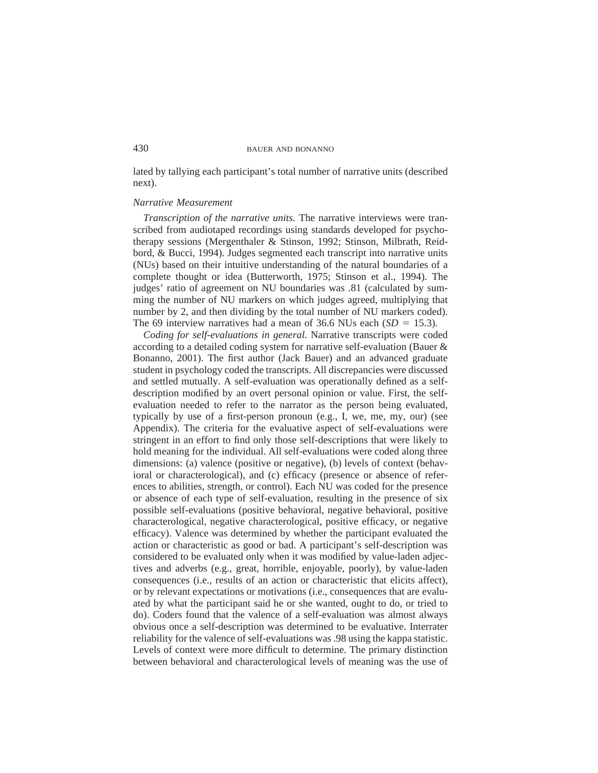lated by tallying each participant's total number of narrative units (described next).

## *Narrative Measurement*

*Transcription of the narrative units.* The narrative interviews were transcribed from audiotaped recordings using standards developed for psychotherapy sessions (Mergenthaler & Stinson, 1992; Stinson, Milbrath, Reidbord, & Bucci, 1994). Judges segmented each transcript into narrative units (NUs) based on their intuitive understanding of the natural boundaries of a complete thought or idea (Butterworth, 1975; Stinson et al., 1994). The judges' ratio of agreement on NU boundaries was .81 (calculated by summing the number of NU markers on which judges agreed, multiplying that number by 2, and then dividing by the total number of NU markers coded). The 69 interview narratives had a mean of 36.6 NUs each  $(SD = 15.3)$ .

*Coding for self-evaluations in general.* Narrative transcripts were coded according to a detailed coding system for narrative self-evaluation (Bauer & Bonanno, 2001). The first author (Jack Bauer) and an advanced graduate student in psychology coded the transcripts. All discrepancies were discussed and settled mutually. A self-evaluation was operationally defined as a selfdescription modified by an overt personal opinion or value. First, the selfevaluation needed to refer to the narrator as the person being evaluated, typically by use of a first-person pronoun (e.g., I, we, me, my, our) (see Appendix). The criteria for the evaluative aspect of self-evaluations were stringent in an effort to find only those self-descriptions that were likely to hold meaning for the individual. All self-evaluations were coded along three dimensions: (a) valence (positive or negative), (b) levels of context (behavioral or characterological), and (c) efficacy (presence or absence of references to abilities, strength, or control). Each NU was coded for the presence or absence of each type of self-evaluation, resulting in the presence of six possible self-evaluations (positive behavioral, negative behavioral, positive characterological, negative characterological, positive efficacy, or negative efficacy). Valence was determined by whether the participant evaluated the action or characteristic as good or bad. A participant's self-description was considered to be evaluated only when it was modified by value-laden adjectives and adverbs (e.g., great, horrible, enjoyable, poorly), by value-laden consequences (i.e., results of an action or characteristic that elicits affect), or by relevant expectations or motivations (i.e., consequences that are evaluated by what the participant said he or she wanted, ought to do, or tried to do). Coders found that the valence of a self-evaluation was almost always obvious once a self-description was determined to be evaluative. Interrater reliability for the valence of self-evaluations was .98 using the kappa statistic. Levels of context were more difficult to determine. The primary distinction between behavioral and characterological levels of meaning was the use of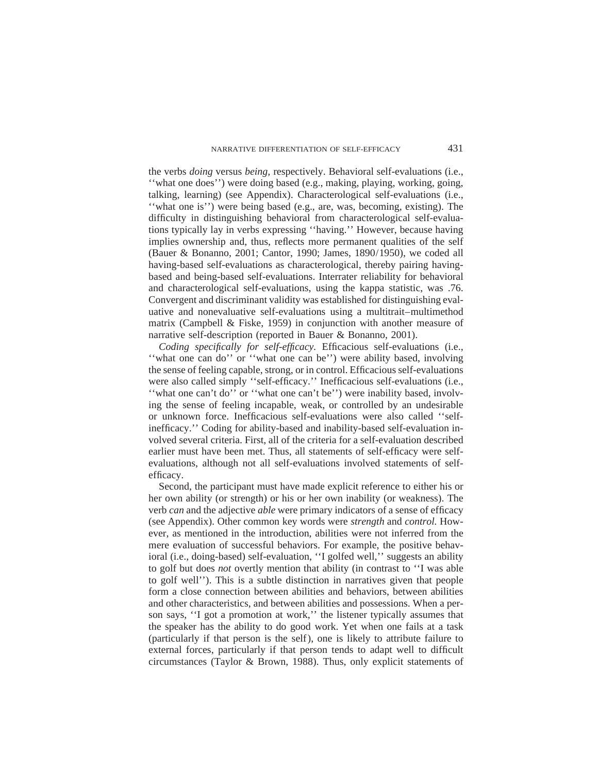the verbs *doing* versus *being,* respectively. Behavioral self-evaluations (i.e., ''what one does'') were doing based (e.g., making, playing, working, going, talking, learning) (see Appendix). Characterological self-evaluations (i.e., ''what one is'') were being based (e.g., are, was, becoming, existing). The difficulty in distinguishing behavioral from characterological self-evaluations typically lay in verbs expressing ''having.'' However, because having implies ownership and, thus, reflects more permanent qualities of the self (Bauer & Bonanno, 2001; Cantor, 1990; James, 1890/1950), we coded all having-based self-evaluations as characterological, thereby pairing havingbased and being-based self-evaluations. Interrater reliability for behavioral and characterological self-evaluations, using the kappa statistic, was .76. Convergent and discriminant validity was established for distinguishing evaluative and nonevaluative self-evaluations using a multitrait–multimethod matrix (Campbell & Fiske, 1959) in conjunction with another measure of narrative self-description (reported in Bauer & Bonanno, 2001).

*Coding specifically for self-efficacy.* Efficacious self-evaluations (i.e., ''what one can do'' or ''what one can be'') were ability based, involving the sense of feeling capable, strong, or in control. Efficacious self-evaluations were also called simply ''self-efficacy.'' Inefficacious self-evaluations (i.e., "what one can't do" or "what one can't be") were inability based, involving the sense of feeling incapable, weak, or controlled by an undesirable or unknown force. Inefficacious self-evaluations were also called ''selfinefficacy.'' Coding for ability-based and inability-based self-evaluation involved several criteria. First, all of the criteria for a self-evaluation described earlier must have been met. Thus, all statements of self-efficacy were selfevaluations, although not all self-evaluations involved statements of selfefficacy.

Second, the participant must have made explicit reference to either his or her own ability (or strength) or his or her own inability (or weakness). The verb *can* and the adjective *able* were primary indicators of a sense of efficacy (see Appendix). Other common key words were *strength* and *control.* However, as mentioned in the introduction, abilities were not inferred from the mere evaluation of successful behaviors. For example, the positive behavioral (i.e., doing-based) self-evaluation, ''I golfed well,'' suggests an ability to golf but does *not* overtly mention that ability (in contrast to ''I was able to golf well''). This is a subtle distinction in narratives given that people form a close connection between abilities and behaviors, between abilities and other characteristics, and between abilities and possessions. When a person says, ''I got a promotion at work,'' the listener typically assumes that the speaker has the ability to do good work. Yet when one fails at a task (particularly if that person is the self), one is likely to attribute failure to external forces, particularly if that person tends to adapt well to difficult circumstances (Taylor & Brown, 1988). Thus, only explicit statements of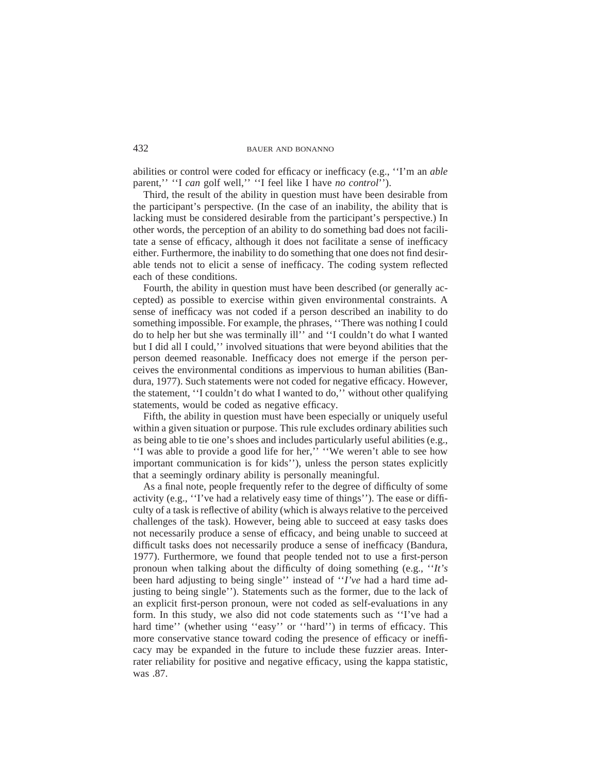abilities or control were coded for efficacy or inefficacy (e.g., ''I'm an *able* parent,'' ''I *can* golf well,'' ''I feel like I have *no control*'').

Third, the result of the ability in question must have been desirable from the participant's perspective. (In the case of an inability, the ability that is lacking must be considered desirable from the participant's perspective.) In other words, the perception of an ability to do something bad does not facilitate a sense of efficacy, although it does not facilitate a sense of inefficacy either. Furthermore, the inability to do something that one does not find desirable tends not to elicit a sense of inefficacy. The coding system reflected each of these conditions.

Fourth, the ability in question must have been described (or generally accepted) as possible to exercise within given environmental constraints. A sense of inefficacy was not coded if a person described an inability to do something impossible. For example, the phrases, ''There was nothing I could do to help her but she was terminally ill'' and ''I couldn't do what I wanted but I did all I could,'' involved situations that were beyond abilities that the person deemed reasonable. Inefficacy does not emerge if the person perceives the environmental conditions as impervious to human abilities (Bandura, 1977). Such statements were not coded for negative efficacy. However, the statement, ''I couldn't do what I wanted to do,'' without other qualifying statements, would be coded as negative efficacy.

Fifth, the ability in question must have been especially or uniquely useful within a given situation or purpose. This rule excludes ordinary abilities such as being able to tie one's shoes and includes particularly useful abilities (e.g., ''I was able to provide a good life for her,'' ''We weren't able to see how important communication is for kids''), unless the person states explicitly that a seemingly ordinary ability is personally meaningful.

As a final note, people frequently refer to the degree of difficulty of some activity (e.g., ''I've had a relatively easy time of things''). The ease or difficulty of a task is reflective of ability (which is always relative to the perceived challenges of the task). However, being able to succeed at easy tasks does not necessarily produce a sense of efficacy, and being unable to succeed at difficult tasks does not necessarily produce a sense of inefficacy (Bandura, 1977). Furthermore, we found that people tended not to use a first-person pronoun when talking about the difficulty of doing something (e.g., ''*It's* been hard adjusting to being single'' instead of ''*I've* had a hard time adjusting to being single''). Statements such as the former, due to the lack of an explicit first-person pronoun, were not coded as self-evaluations in any form. In this study, we also did not code statements such as ''I've had a hard time'' (whether using ''easy'' or ''hard'') in terms of efficacy. This more conservative stance toward coding the presence of efficacy or inefficacy may be expanded in the future to include these fuzzier areas. Interrater reliability for positive and negative efficacy, using the kappa statistic, was .87.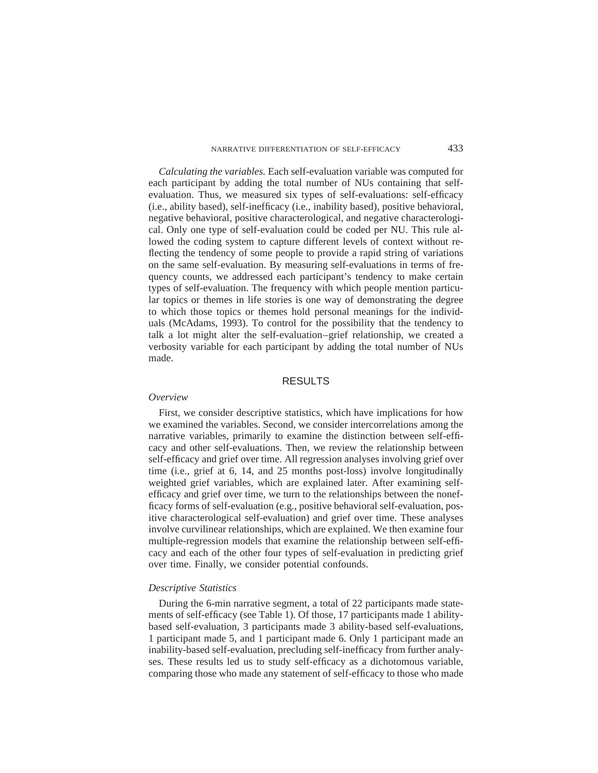*Calculating the variables.* Each self-evaluation variable was computed for each participant by adding the total number of NUs containing that selfevaluation. Thus, we measured six types of self-evaluations: self-efficacy (i.e., ability based), self-inefficacy (i.e., inability based), positive behavioral, negative behavioral, positive characterological, and negative characterological. Only one type of self-evaluation could be coded per NU. This rule allowed the coding system to capture different levels of context without reflecting the tendency of some people to provide a rapid string of variations on the same self-evaluation. By measuring self-evaluations in terms of frequency counts, we addressed each participant's tendency to make certain types of self-evaluation. The frequency with which people mention particular topics or themes in life stories is one way of demonstrating the degree to which those topics or themes hold personal meanings for the individuals (McAdams, 1993). To control for the possibility that the tendency to talk a lot might alter the self-evaluation–grief relationship, we created a verbosity variable for each participant by adding the total number of NUs made.

#### **RESULTS**

#### *Overview*

First, we consider descriptive statistics, which have implications for how we examined the variables. Second, we consider intercorrelations among the narrative variables, primarily to examine the distinction between self-efficacy and other self-evaluations. Then, we review the relationship between self-efficacy and grief over time. All regression analyses involving grief over time (i.e., grief at 6, 14, and 25 months post-loss) involve longitudinally weighted grief variables, which are explained later. After examining selfefficacy and grief over time, we turn to the relationships between the nonefficacy forms of self-evaluation (e.g., positive behavioral self-evaluation, positive characterological self-evaluation) and grief over time. These analyses involve curvilinear relationships, which are explained. We then examine four multiple-regression models that examine the relationship between self-efficacy and each of the other four types of self-evaluation in predicting grief over time. Finally, we consider potential confounds.

#### *Descriptive Statistics*

During the 6-min narrative segment, a total of 22 participants made statements of self-efficacy (see Table 1). Of those, 17 participants made 1 abilitybased self-evaluation, 3 participants made 3 ability-based self-evaluations, 1 participant made 5, and 1 participant made 6. Only 1 participant made an inability-based self-evaluation, precluding self-inefficacy from further analyses. These results led us to study self-efficacy as a dichotomous variable, comparing those who made any statement of self-efficacy to those who made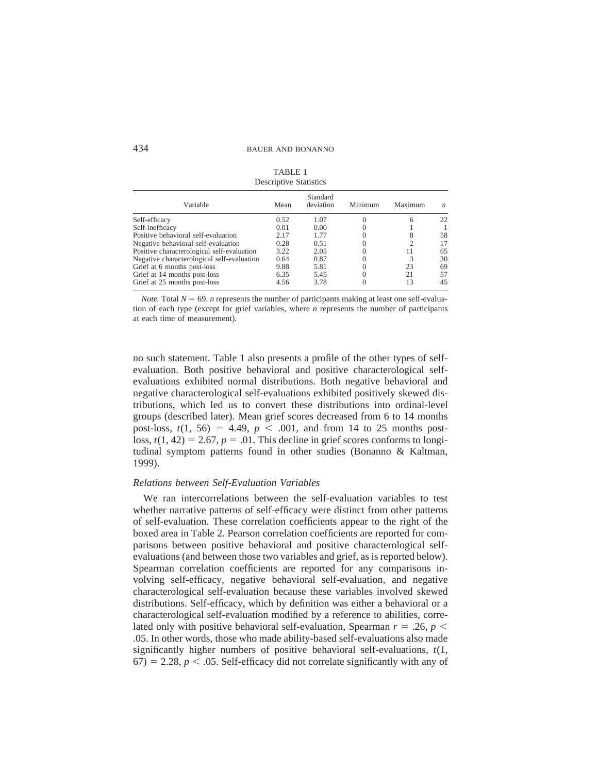| Variable                                   | Mean | Standard<br>deviation | Minimum | Maximum | n  |
|--------------------------------------------|------|-----------------------|---------|---------|----|
| Self-efficacy                              | 0.52 | 1.07                  |         |         | 22 |
| Self-inefficacy                            | 0.01 | 0.00                  |         |         |    |
| Positive behavioral self-evaluation        | 2.17 | 1.77                  |         | 8       | 58 |
| Negative behavioral self-evaluation        | 0.28 | 0.51                  |         |         | 17 |
| Positive characterological self-evaluation | 3.22 | 2.05                  |         | 11      | 65 |
| Negative characterological self-evaluation | 0.64 | 0.87                  |         |         | 30 |
| Grief at 6 months post-loss                | 9.88 | 5.81                  |         | 23      | 69 |
| Grief at 14 months post-loss               | 6.35 | 5.45                  |         | 21      | 57 |
| Grief at 25 months post-loss               | 4.56 | 3.78                  |         | 13      | 45 |
|                                            |      |                       |         |         |    |

TABLE 1 Descriptive Statistics

*Note.* Total  $N = 69$ . *n* represents the number of participants making at least one self-evaluation of each type (except for grief variables, where *n* represents the number of participants at each time of measurement).

no such statement. Table 1 also presents a profile of the other types of selfevaluation. Both positive behavioral and positive characterological selfevaluations exhibited normal distributions. Both negative behavioral and negative characterological self-evaluations exhibited positively skewed distributions, which led us to convert these distributions into ordinal-level groups (described later). Mean grief scores decreased from 6 to 14 months post-loss,  $t(1, 56) = 4.49$ ,  $p \le .001$ , and from 14 to 25 months post- $\log_{10} t(1, 42) = 2.67$ ,  $p = .01$ . This decline in grief scores conforms to longitudinal symptom patterns found in other studies (Bonanno & Kaltman, 1999).

#### *Relations between Self-Evaluation Variables*

We ran intercorrelations between the self-evaluation variables to test whether narrative patterns of self-efficacy were distinct from other patterns of self-evaluation. These correlation coefficients appear to the right of the boxed area in Table 2. Pearson correlation coefficients are reported for comparisons between positive behavioral and positive characterological selfevaluations (and between those two variables and grief, as is reported below). Spearman correlation coefficients are reported for any comparisons involving self-efficacy, negative behavioral self-evaluation, and negative characterological self-evaluation because these variables involved skewed distributions. Self-efficacy, which by definition was either a behavioral or a characterological self-evaluation modified by a reference to abilities, correlated only with positive behavioral self-evaluation, Spearman  $r = .26$ ,  $p <$ .05. In other words, those who made ability-based self-evaluations also made significantly higher numbers of positive behavioral self-evaluations, *t*(1,  $67$ ) = 2.28,  $p < .05$ . Self-efficacy did not correlate significantly with any of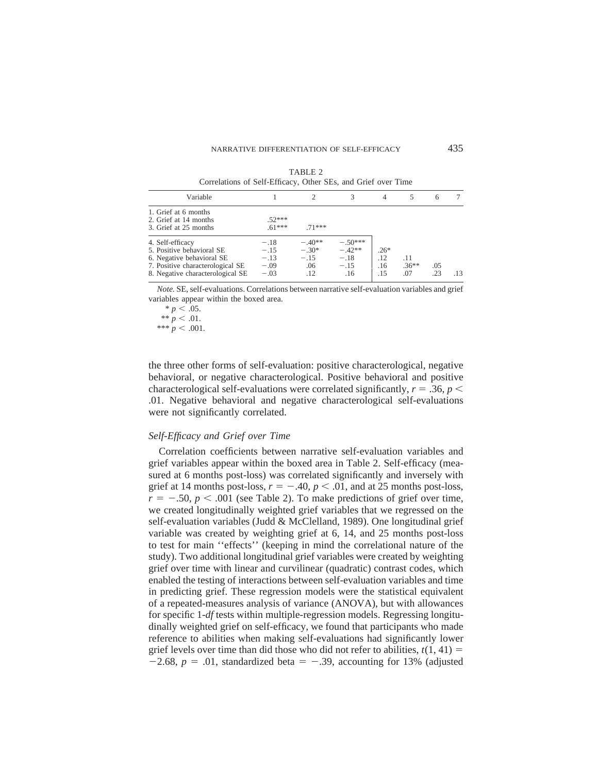| Variable                                                                                                                                           |                                                |                                             | 3                                                | 4                           |                       | 6          | 7   |
|----------------------------------------------------------------------------------------------------------------------------------------------------|------------------------------------------------|---------------------------------------------|--------------------------------------------------|-----------------------------|-----------------------|------------|-----|
| 1. Grief at 6 months<br>2. Grief at 14 months<br>3. Grief at 25 months                                                                             | $52***$<br>$61***$                             | $71***$                                     |                                                  |                             |                       |            |     |
| 4. Self-efficacy<br>5. Positive behavioral SE<br>6. Negative behavioral SE<br>7. Positive characterological SE<br>8. Negative characterological SE | $-.18$<br>$-.15$<br>$-.13$<br>$-.09$<br>$-.03$ | $-.40**$<br>$-.30*$<br>$-.15$<br>.06<br>.12 | $-.50***$<br>$-.42**$<br>$-.18$<br>$-.15$<br>.16 | $.26*$<br>.12<br>.16<br>.15 | .11<br>$.36**$<br>.07 | .05<br>.23 | .13 |

TABLE 2 Correlations of Self-Efficacy, Other SEs, and Grief over Time

*Note.* SE, self-evaluations. Correlations between narrative self-evaluation variables and grief variables appear within the boxed area.

the three other forms of self-evaluation: positive characterological, negative behavioral, or negative characterological. Positive behavioral and positive characterological self-evaluations were correlated significantly,  $r = .36$ ,  $p <$ .01. Negative behavioral and negative characterological self-evaluations were not significantly correlated.

#### *Self-Efficacy and Grief over Time*

Correlation coefficients between narrative self-evaluation variables and grief variables appear within the boxed area in Table 2. Self-efficacy (measured at 6 months post-loss) was correlated significantly and inversely with grief at 14 months post-loss,  $r = -.40$ ,  $p < .01$ , and at 25 months post-loss,  $r = -.50, p < .001$  (see Table 2). To make predictions of grief over time, we created longitudinally weighted grief variables that we regressed on the self-evaluation variables (Judd & McClelland, 1989). One longitudinal grief variable was created by weighting grief at 6, 14, and 25 months post-loss to test for main ''effects'' (keeping in mind the correlational nature of the study). Two additional longitudinal grief variables were created by weighting grief over time with linear and curvilinear (quadratic) contrast codes, which enabled the testing of interactions between self-evaluation variables and time in predicting grief. These regression models were the statistical equivalent of a repeated-measures analysis of variance (ANOVA), but with allowances for specific 1-*df* tests within multiple-regression models. Regressing longitudinally weighted grief on self-efficacy, we found that participants who made reference to abilities when making self-evaluations had significantly lower grief levels over time than did those who did not refer to abilities,  $t(1, 41) =$  $-2.68$ ,  $p = .01$ , standardized beta  $= -.39$ , accounting for 13% (adjusted

 $* p < .05.$ \*\*  $p < .01$ . \*\*\*  $p < .001$ .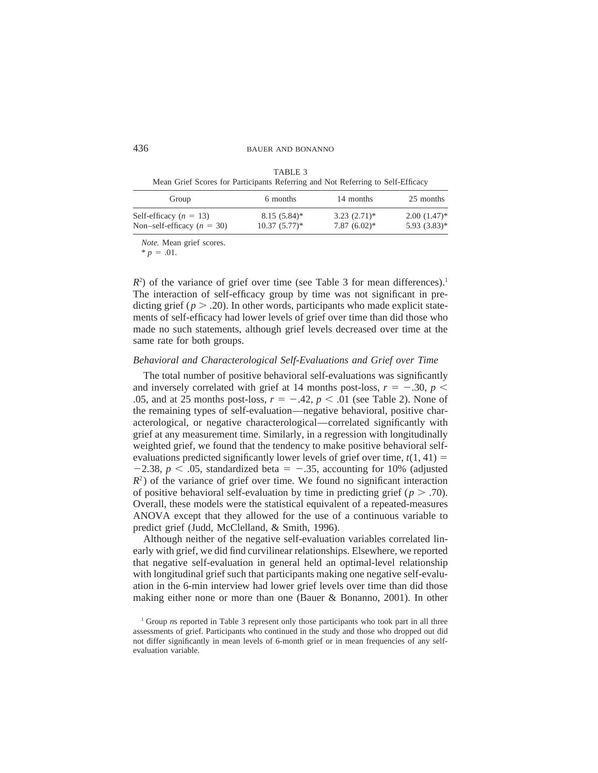| Group                        | 6 months       | 14 months      | 25 months      |  |
|------------------------------|----------------|----------------|----------------|--|
| Self-efficacy $(n = 13)$     | $8.15(5.84)$ * | $3.23(2.71)^*$ | $2.00(1.47)$ * |  |
| Non-self-efficacy $(n = 30)$ | $10.37(5.77)*$ | $7.87(6.02)^*$ | $5.93(3.83)*$  |  |

TABLE 3 Mean Grief Scores for Participants Referring and Not Referring to Self-Efficacy

*Note.* Mean grief scores.

 $* p = .01.$ 

 $R<sup>2</sup>$ ) of the variance of grief over time (see Table 3 for mean differences).<sup>1</sup> The interaction of self-efficacy group by time was not significant in predicting grief ( $p > .20$ ). In other words, participants who made explicit statements of self-efficacy had lower levels of grief over time than did those who made no such statements, although grief levels decreased over time at the same rate for both groups.

#### *Behavioral and Characterological Self-Evaluations and Grief over Time*

The total number of positive behavioral self-evaluations was significantly and inversely correlated with grief at 14 months post-loss,  $r = -.30, p <$ .05, and at 25 months post-loss,  $r = -.42$ ,  $p < .01$  (see Table 2). None of the remaining types of self-evaluation—negative behavioral, positive characterological, or negative characterological—correlated significantly with grief at any measurement time. Similarly, in a regression with longitudinally weighted grief, we found that the tendency to make positive behavioral selfevaluations predicted significantly lower levels of grief over time,  $t(1, 41) =$  $-2.38$ ,  $p < .05$ , standardized beta  $= -.35$ , accounting for 10% (adjusted  $R<sup>2</sup>$ ) of the variance of grief over time. We found no significant interaction of positive behavioral self-evaluation by time in predicting grief ( $p > .70$ ). Overall, these models were the statistical equivalent of a repeated-measures ANOVA except that they allowed for the use of a continuous variable to predict grief (Judd, McClelland, & Smith, 1996).

Although neither of the negative self-evaluation variables correlated linearly with grief, we did find curvilinear relationships. Elsewhere, we reported that negative self-evaluation in general held an optimal-level relationship with longitudinal grief such that participants making one negative self-evaluation in the 6-min interview had lower grief levels over time than did those making either none or more than one (Bauer & Bonanno, 2001). In other

<sup>1</sup> Group *n*s reported in Table 3 represent only those participants who took part in all three assessments of grief. Participants who continued in the study and those who dropped out did not differ significantly in mean levels of 6-month grief or in mean frequencies of any selfevaluation variable.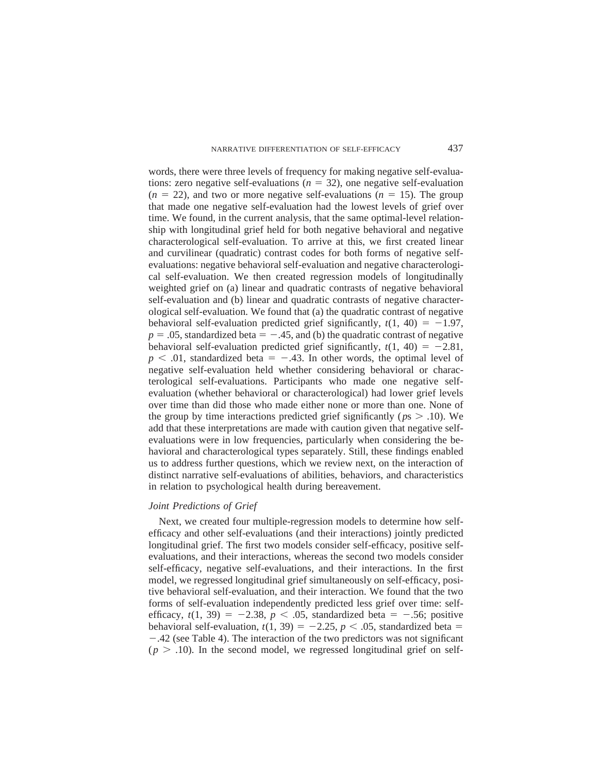words, there were three levels of frequency for making negative self-evaluations: zero negative self-evaluations  $(n = 32)$ , one negative self-evaluation  $(n = 22)$ , and two or more negative self-evaluations  $(n = 15)$ . The group that made one negative self-evaluation had the lowest levels of grief over time. We found, in the current analysis, that the same optimal-level relationship with longitudinal grief held for both negative behavioral and negative characterological self-evaluation. To arrive at this, we first created linear and curvilinear (quadratic) contrast codes for both forms of negative selfevaluations: negative behavioral self-evaluation and negative characterological self-evaluation. We then created regression models of longitudinally weighted grief on (a) linear and quadratic contrasts of negative behavioral self-evaluation and (b) linear and quadratic contrasts of negative characterological self-evaluation. We found that (a) the quadratic contrast of negative behavioral self-evaluation predicted grief significantly,  $t(1, 40) = -1.97$ ,  $p = 0.05$ , standardized beta  $= -0.45$ , and (b) the quadratic contrast of negative behavioral self-evaluation predicted grief significantly,  $t(1, 40) = -2.81$ ,  $p \leq 0.01$ , standardized beta  $= -0.43$ . In other words, the optimal level of negative self-evaluation held whether considering behavioral or characterological self-evaluations. Participants who made one negative selfevaluation (whether behavioral or characterological) had lower grief levels over time than did those who made either none or more than one. None of the group by time interactions predicted grief significantly ( $p_s > .10$ ). We add that these interpretations are made with caution given that negative selfevaluations were in low frequencies, particularly when considering the behavioral and characterological types separately. Still, these findings enabled us to address further questions, which we review next, on the interaction of distinct narrative self-evaluations of abilities, behaviors, and characteristics in relation to psychological health during bereavement.

# *Joint Predictions of Grief*

Next, we created four multiple-regression models to determine how selfefficacy and other self-evaluations (and their interactions) jointly predicted longitudinal grief. The first two models consider self-efficacy, positive selfevaluations, and their interactions, whereas the second two models consider self-efficacy, negative self-evaluations, and their interactions. In the first model, we regressed longitudinal grief simultaneously on self-efficacy, positive behavioral self-evaluation, and their interaction. We found that the two forms of self-evaluation independently predicted less grief over time: selfefficacy,  $t(1, 39) = -2.38$ ,  $p < .05$ , standardized beta = -.56; positive behavioral self-evaluation,  $t(1, 39) = -2.25$ ,  $p < .05$ , standardized beta =  $-0.42$  (see Table 4). The interaction of the two predictors was not significant  $(p > .10)$ . In the second model, we regressed longitudinal grief on self-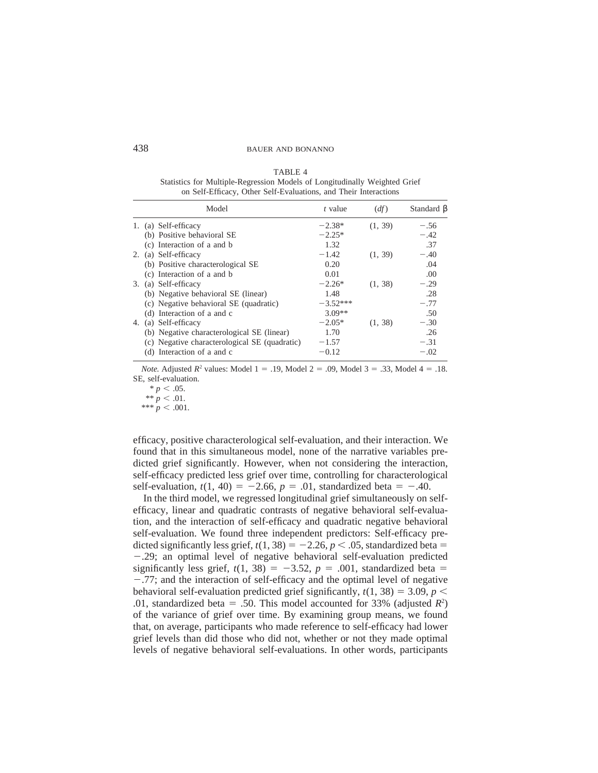| Model                                         | t value    | (df)    | Standard B |
|-----------------------------------------------|------------|---------|------------|
| 1. (a) Self-efficacy                          | $-2.38*$   | (1, 39) | $-.56$     |
| (b) Positive behavioral SE                    | $-2.25*$   |         | $-.42$     |
| (c) Interaction of a and b                    | 1.32       |         | .37        |
| 2. (a) Self-efficacy                          | $-1.42$    | (1, 39) | $-.40$     |
| (b) Positive characterological SE             | 0.20       |         | .04        |
| (c) Interaction of a and b                    | 0.01       |         | .00        |
| 3. (a) Self-efficacy                          | $-2.26*$   | (1, 38) | $-.29$     |
| (b) Negative behavioral SE (linear)           | 1.48       |         | .28        |
| (c) Negative behavioral SE (quadratic)        | $-3.52***$ |         | $-.77$     |
| (d) Interaction of a and c                    | $3.09**$   |         | .50        |
| 4. (a) Self-efficacy                          | $-2.05*$   | (1, 38) | $-.30$     |
| (b) Negative characterological SE (linear)    | 1.70       |         | .26        |
| (c) Negative characterological SE (quadratic) | $-1.57$    |         | $-.31$     |
| (d) Interaction of a and c                    | $-0.12$    |         | $-.02$     |
|                                               |            |         |            |

TABLE 4 Statistics for Multiple-Regression Models of Longitudinally Weighted Grief on Self-Efficacy, Other Self-Evaluations, and Their Interactions

*Note.* Adjusted  $R^2$  values: Model 1 = .19, Model 2 = .09, Model 3 = .33, Model 4 = .18. SE, self-evaluation.

 $* p < .05.$ \*\*  $p < .01$ .

\*\*\*  $p < .001$ .

efficacy, positive characterological self-evaluation, and their interaction. We found that in this simultaneous model, none of the narrative variables predicted grief significantly. However, when not considering the interaction, self-efficacy predicted less grief over time, controlling for characterological self-evaluation,  $t(1, 40) = -2.66$ ,  $p = .01$ , standardized beta = -.40.

In the third model, we regressed longitudinal grief simultaneously on selfefficacy, linear and quadratic contrasts of negative behavioral self-evaluation, and the interaction of self-efficacy and quadratic negative behavioral self-evaluation. We found three independent predictors: Self-efficacy predicted significantly less grief,  $t(1, 38) = -2.26$ ,  $p < .05$ , standardized beta = 2.29; an optimal level of negative behavioral self-evaluation predicted significantly less grief,  $t(1, 38) = -3.52$ ,  $p = .001$ , standardized beta =  $-77$ ; and the interaction of self-efficacy and the optimal level of negative behavioral self-evaluation predicted grief significantly,  $t(1, 38) = 3.09$ ,  $p <$ .01, standardized beta = .50. This model accounted for 33% (adjusted  $R^2$ ) of the variance of grief over time. By examining group means, we found that, on average, participants who made reference to self-efficacy had lower grief levels than did those who did not, whether or not they made optimal levels of negative behavioral self-evaluations. In other words, participants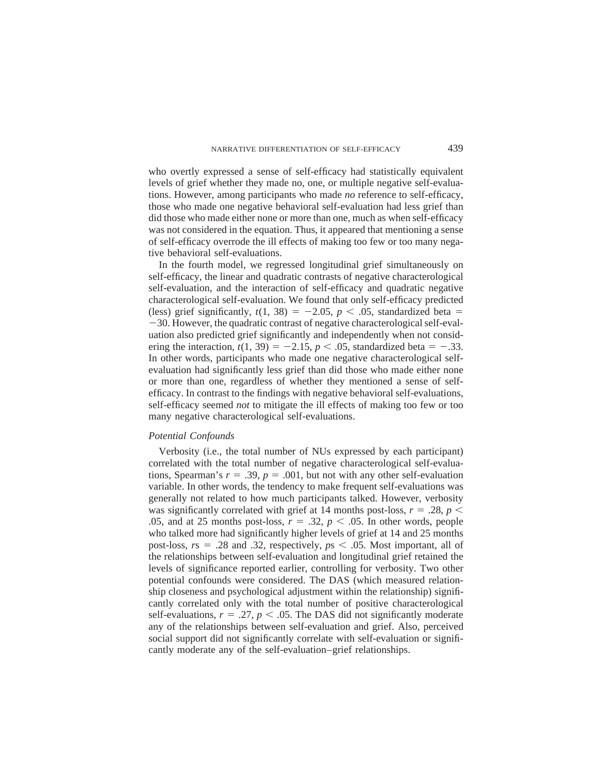who overtly expressed a sense of self-efficacy had statistically equivalent levels of grief whether they made no, one, or multiple negative self-evaluations. However, among participants who made *no* reference to self-efficacy, those who made one negative behavioral self-evaluation had less grief than did those who made either none or more than one, much as when self-efficacy was not considered in the equation. Thus, it appeared that mentioning a sense of self-efficacy overrode the ill effects of making too few or too many negative behavioral self-evaluations.

In the fourth model, we regressed longitudinal grief simultaneously on self-efficacy, the linear and quadratic contrasts of negative characterological self-evaluation, and the interaction of self-efficacy and quadratic negative characterological self-evaluation. We found that only self-efficacy predicted (less) grief significantly,  $t(1, 38) = -2.05$ ,  $p < .05$ , standardized beta =  $-30$ . However, the quadratic contrast of negative characterological self-evaluation also predicted grief significantly and independently when not considering the interaction,  $t(1, 39) = -2.15$ ,  $p < .05$ , standardized beta = -.33. In other words, participants who made one negative characterological selfevaluation had significantly less grief than did those who made either none or more than one, regardless of whether they mentioned a sense of selfefficacy. In contrast to the findings with negative behavioral self-evaluations, self-efficacy seemed *not* to mitigate the ill effects of making too few or too many negative characterological self-evaluations.

## *Potential Confounds*

Verbosity (i.e., the total number of NUs expressed by each participant) correlated with the total number of negative characterological self-evaluations, Spearman's  $r = .39$ ,  $p = .001$ , but not with any other self-evaluation variable. In other words, the tendency to make frequent self-evaluations was generally not related to how much participants talked. However, verbosity was significantly correlated with grief at 14 months post-loss,  $r = .28$ ,  $p <$ .05, and at 25 months post-loss,  $r = .32$ ,  $p < .05$ . In other words, people who talked more had significantly higher levels of grief at 14 and 25 months post-loss,  $r_s = .28$  and .32, respectively,  $p_s < .05$ . Most important, all of the relationships between self-evaluation and longitudinal grief retained the levels of significance reported earlier, controlling for verbosity. Two other potential confounds were considered. The DAS (which measured relationship closeness and psychological adjustment within the relationship) significantly correlated only with the total number of positive characterological self-evaluations,  $r = .27$ ,  $p < .05$ . The DAS did not significantly moderate any of the relationships between self-evaluation and grief. Also, perceived social support did not significantly correlate with self-evaluation or significantly moderate any of the self-evaluation–grief relationships.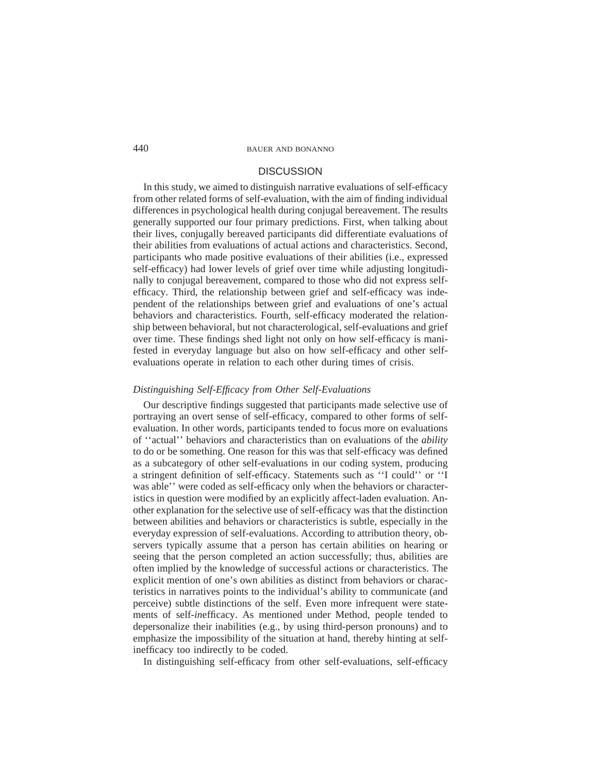#### **DISCUSSION**

In this study, we aimed to distinguish narrative evaluations of self-efficacy from other related forms of self-evaluation, with the aim of finding individual differences in psychological health during conjugal bereavement. The results generally supported our four primary predictions. First, when talking about their lives, conjugally bereaved participants did differentiate evaluations of their abilities from evaluations of actual actions and characteristics. Second, participants who made positive evaluations of their abilities (i.e., expressed self-efficacy) had lower levels of grief over time while adjusting longitudinally to conjugal bereavement, compared to those who did not express selfefficacy. Third, the relationship between grief and self-efficacy was independent of the relationships between grief and evaluations of one's actual behaviors and characteristics. Fourth, self-efficacy moderated the relationship between behavioral, but not characterological, self-evaluations and grief over time. These findings shed light not only on how self-efficacy is manifested in everyday language but also on how self-efficacy and other selfevaluations operate in relation to each other during times of crisis.

# *Distinguishing Self-Efficacy from Other Self-Evaluations*

Our descriptive findings suggested that participants made selective use of portraying an overt sense of self-efficacy, compared to other forms of selfevaluation. In other words, participants tended to focus more on evaluations of ''actual'' behaviors and characteristics than on evaluations of the *ability* to do or be something. One reason for this was that self-efficacy was defined as a subcategory of other self-evaluations in our coding system, producing a stringent definition of self-efficacy. Statements such as ''I could'' or ''I was able'' were coded as self-efficacy only when the behaviors or characteristics in question were modified by an explicitly affect-laden evaluation. Another explanation for the selective use of self-efficacy was that the distinction between abilities and behaviors or characteristics is subtle, especially in the everyday expression of self-evaluations. According to attribution theory, observers typically assume that a person has certain abilities on hearing or seeing that the person completed an action successfully; thus, abilities are often implied by the knowledge of successful actions or characteristics. The explicit mention of one's own abilities as distinct from behaviors or characteristics in narratives points to the individual's ability to communicate (and perceive) subtle distinctions of the self. Even more infrequent were statements of self-*in*efficacy. As mentioned under Method, people tended to depersonalize their inabilities (e.g., by using third-person pronouns) and to emphasize the impossibility of the situation at hand, thereby hinting at selfinefficacy too indirectly to be coded.

In distinguishing self-efficacy from other self-evaluations, self-efficacy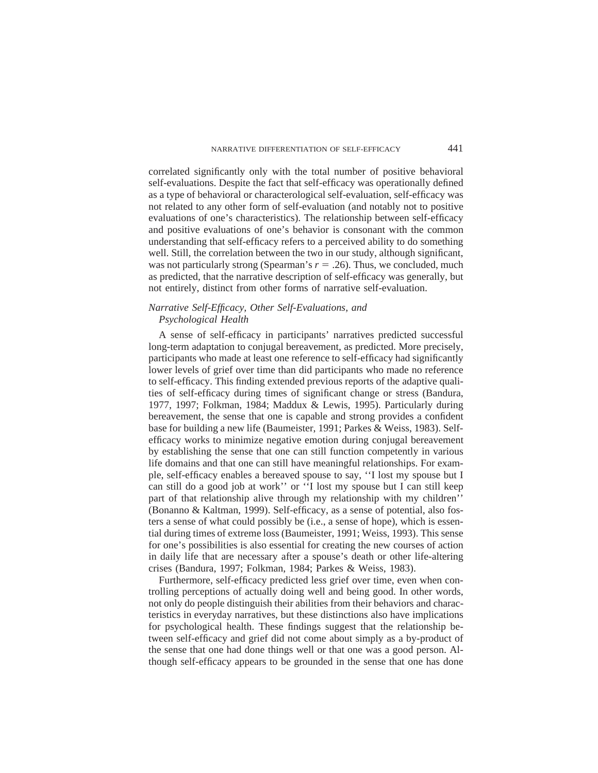correlated significantly only with the total number of positive behavioral self-evaluations. Despite the fact that self-efficacy was operationally defined as a type of behavioral or characterological self-evaluation, self-efficacy was not related to any other form of self-evaluation (and notably not to positive evaluations of one's characteristics). The relationship between self-efficacy and positive evaluations of one's behavior is consonant with the common understanding that self-efficacy refers to a perceived ability to do something well. Still, the correlation between the two in our study, although significant, was not particularly strong (Spearman's  $r = .26$ ). Thus, we concluded, much as predicted, that the narrative description of self-efficacy was generally, but not entirely, distinct from other forms of narrative self-evaluation.

## *Narrative Self-Efficacy, Other Self-Evaluations, and Psychological Health*

A sense of self-efficacy in participants' narratives predicted successful long-term adaptation to conjugal bereavement, as predicted. More precisely, participants who made at least one reference to self-efficacy had significantly lower levels of grief over time than did participants who made no reference to self-efficacy. This finding extended previous reports of the adaptive qualities of self-efficacy during times of significant change or stress (Bandura, 1977, 1997; Folkman, 1984; Maddux & Lewis, 1995). Particularly during bereavement, the sense that one is capable and strong provides a confident base for building a new life (Baumeister, 1991; Parkes & Weiss, 1983). Selfefficacy works to minimize negative emotion during conjugal bereavement by establishing the sense that one can still function competently in various life domains and that one can still have meaningful relationships. For example, self-efficacy enables a bereaved spouse to say, ''I lost my spouse but I can still do a good job at work'' or ''I lost my spouse but I can still keep part of that relationship alive through my relationship with my children'' (Bonanno & Kaltman, 1999). Self-efficacy, as a sense of potential, also fosters a sense of what could possibly be (i.e., a sense of hope), which is essential during times of extreme loss (Baumeister, 1991; Weiss, 1993). This sense for one's possibilities is also essential for creating the new courses of action in daily life that are necessary after a spouse's death or other life-altering crises (Bandura, 1997; Folkman, 1984; Parkes & Weiss, 1983).

Furthermore, self-efficacy predicted less grief over time, even when controlling perceptions of actually doing well and being good. In other words, not only do people distinguish their abilities from their behaviors and characteristics in everyday narratives, but these distinctions also have implications for psychological health. These findings suggest that the relationship between self-efficacy and grief did not come about simply as a by-product of the sense that one had done things well or that one was a good person. Although self-efficacy appears to be grounded in the sense that one has done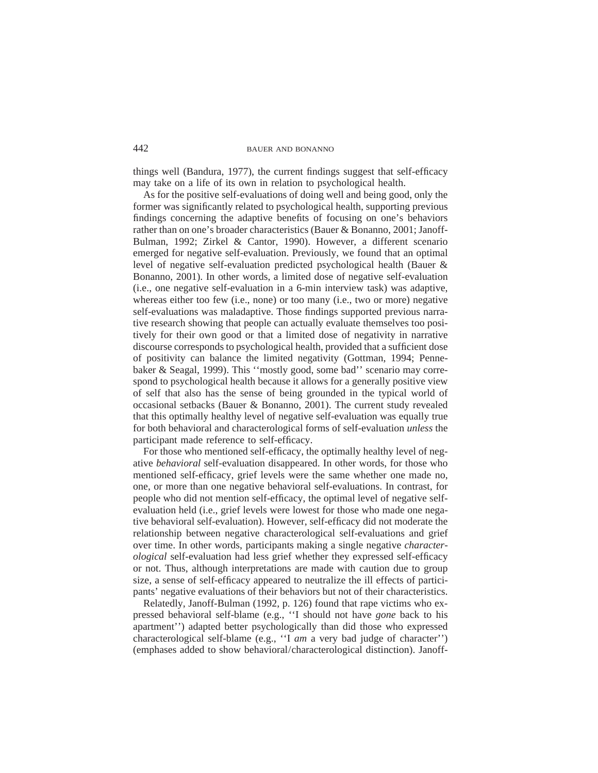things well (Bandura, 1977), the current findings suggest that self-efficacy may take on a life of its own in relation to psychological health.

As for the positive self-evaluations of doing well and being good, only the former was significantly related to psychological health, supporting previous findings concerning the adaptive benefits of focusing on one's behaviors rather than on one's broader characteristics (Bauer & Bonanno, 2001; Janoff-Bulman, 1992; Zirkel & Cantor, 1990). However, a different scenario emerged for negative self-evaluation. Previously, we found that an optimal level of negative self-evaluation predicted psychological health (Bauer & Bonanno, 2001). In other words, a limited dose of negative self-evaluation (i.e., one negative self-evaluation in a 6-min interview task) was adaptive, whereas either too few (i.e., none) or too many (i.e., two or more) negative self-evaluations was maladaptive. Those findings supported previous narrative research showing that people can actually evaluate themselves too positively for their own good or that a limited dose of negativity in narrative discourse corresponds to psychological health, provided that a sufficient dose of positivity can balance the limited negativity (Gottman, 1994; Pennebaker & Seagal, 1999). This ''mostly good, some bad'' scenario may correspond to psychological health because it allows for a generally positive view of self that also has the sense of being grounded in the typical world of occasional setbacks (Bauer & Bonanno, 2001). The current study revealed that this optimally healthy level of negative self-evaluation was equally true for both behavioral and characterological forms of self-evaluation *unless* the participant made reference to self-efficacy.

For those who mentioned self-efficacy, the optimally healthy level of negative *behavioral* self-evaluation disappeared. In other words, for those who mentioned self-efficacy, grief levels were the same whether one made no, one, or more than one negative behavioral self-evaluations. In contrast, for people who did not mention self-efficacy, the optimal level of negative selfevaluation held (i.e., grief levels were lowest for those who made one negative behavioral self-evaluation). However, self-efficacy did not moderate the relationship between negative characterological self-evaluations and grief over time. In other words, participants making a single negative *characterological* self-evaluation had less grief whether they expressed self-efficacy or not. Thus, although interpretations are made with caution due to group size, a sense of self-efficacy appeared to neutralize the ill effects of participants' negative evaluations of their behaviors but not of their characteristics.

Relatedly, Janoff-Bulman (1992, p. 126) found that rape victims who expressed behavioral self-blame (e.g., ''I should not have *gone* back to his apartment'') adapted better psychologically than did those who expressed characterological self-blame (e.g., ''I *am* a very bad judge of character'') (emphases added to show behavioral/characterological distinction). Janoff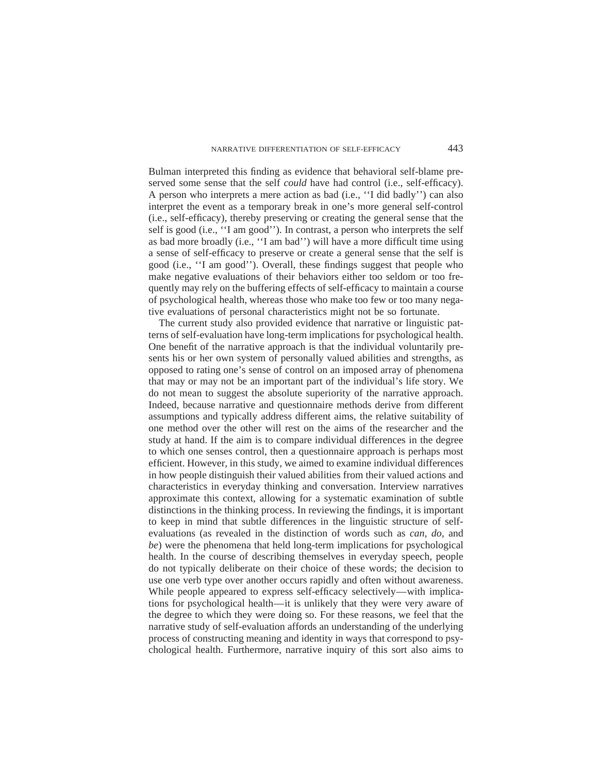Bulman interpreted this finding as evidence that behavioral self-blame preserved some sense that the self *could* have had control (i.e., self-efficacy). A person who interprets a mere action as bad (i.e., "I did badly") can also interpret the event as a temporary break in one's more general self-control (i.e., self-efficacy), thereby preserving or creating the general sense that the self is good (i.e., ''I am good''). In contrast, a person who interprets the self as bad more broadly (i.e., ''I am bad'') will have a more difficult time using a sense of self-efficacy to preserve or create a general sense that the self is good (i.e., ''I am good''). Overall, these findings suggest that people who make negative evaluations of their behaviors either too seldom or too frequently may rely on the buffering effects of self-efficacy to maintain a course of psychological health, whereas those who make too few or too many negative evaluations of personal characteristics might not be so fortunate.

The current study also provided evidence that narrative or linguistic patterns of self-evaluation have long-term implications for psychological health. One benefit of the narrative approach is that the individual voluntarily presents his or her own system of personally valued abilities and strengths, as opposed to rating one's sense of control on an imposed array of phenomena that may or may not be an important part of the individual's life story. We do not mean to suggest the absolute superiority of the narrative approach. Indeed, because narrative and questionnaire methods derive from different assumptions and typically address different aims, the relative suitability of one method over the other will rest on the aims of the researcher and the study at hand. If the aim is to compare individual differences in the degree to which one senses control, then a questionnaire approach is perhaps most efficient. However, in this study, we aimed to examine individual differences in how people distinguish their valued abilities from their valued actions and characteristics in everyday thinking and conversation. Interview narratives approximate this context, allowing for a systematic examination of subtle distinctions in the thinking process. In reviewing the findings, it is important to keep in mind that subtle differences in the linguistic structure of selfevaluations (as revealed in the distinction of words such as *can, do,* and *be*) were the phenomena that held long-term implications for psychological health. In the course of describing themselves in everyday speech, people do not typically deliberate on their choice of these words; the decision to use one verb type over another occurs rapidly and often without awareness. While people appeared to express self-efficacy selectively—with implications for psychological health—it is unlikely that they were very aware of the degree to which they were doing so. For these reasons, we feel that the narrative study of self-evaluation affords an understanding of the underlying process of constructing meaning and identity in ways that correspond to psychological health. Furthermore, narrative inquiry of this sort also aims to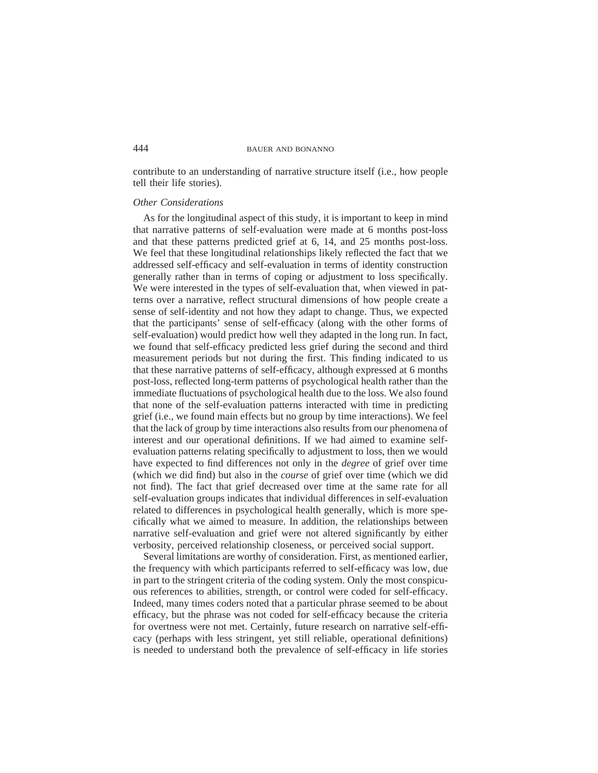contribute to an understanding of narrative structure itself (i.e., how people tell their life stories).

## *Other Considerations*

As for the longitudinal aspect of this study, it is important to keep in mind that narrative patterns of self-evaluation were made at 6 months post-loss and that these patterns predicted grief at 6, 14, and 25 months post-loss. We feel that these longitudinal relationships likely reflected the fact that we addressed self-efficacy and self-evaluation in terms of identity construction generally rather than in terms of coping or adjustment to loss specifically. We were interested in the types of self-evaluation that, when viewed in patterns over a narrative, reflect structural dimensions of how people create a sense of self-identity and not how they adapt to change. Thus, we expected that the participants' sense of self-efficacy (along with the other forms of self-evaluation) would predict how well they adapted in the long run. In fact, we found that self-efficacy predicted less grief during the second and third measurement periods but not during the first. This finding indicated to us that these narrative patterns of self-efficacy, although expressed at 6 months post-loss, reflected long-term patterns of psychological health rather than the immediate fluctuations of psychological health due to the loss. We also found that none of the self-evaluation patterns interacted with time in predicting grief (i.e., we found main effects but no group by time interactions). We feel that the lack of group by time interactions also results from our phenomena of interest and our operational definitions. If we had aimed to examine selfevaluation patterns relating specifically to adjustment to loss, then we would have expected to find differences not only in the *degree* of grief over time (which we did find) but also in the *course* of grief over time (which we did not find). The fact that grief decreased over time at the same rate for all self-evaluation groups indicates that individual differences in self-evaluation related to differences in psychological health generally, which is more specifically what we aimed to measure. In addition, the relationships between narrative self-evaluation and grief were not altered significantly by either verbosity, perceived relationship closeness, or perceived social support.

Several limitations are worthy of consideration. First, as mentioned earlier, the frequency with which participants referred to self-efficacy was low, due in part to the stringent criteria of the coding system. Only the most conspicuous references to abilities, strength, or control were coded for self-efficacy. Indeed, many times coders noted that a particular phrase seemed to be about efficacy, but the phrase was not coded for self-efficacy because the criteria for overtness were not met. Certainly, future research on narrative self-efficacy (perhaps with less stringent, yet still reliable, operational definitions) is needed to understand both the prevalence of self-efficacy in life stories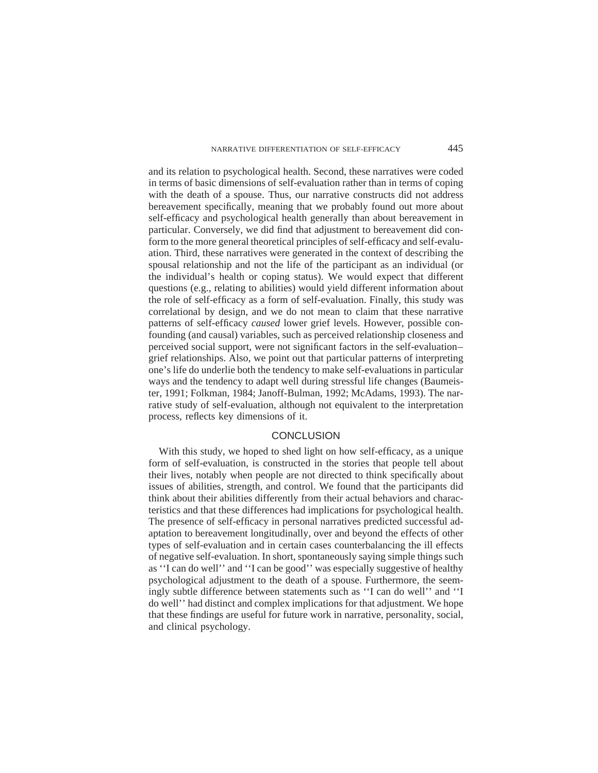and its relation to psychological health. Second, these narratives were coded in terms of basic dimensions of self-evaluation rather than in terms of coping with the death of a spouse. Thus, our narrative constructs did not address bereavement specifically, meaning that we probably found out more about self-efficacy and psychological health generally than about bereavement in particular. Conversely, we did find that adjustment to bereavement did conform to the more general theoretical principles of self-efficacy and self-evaluation. Third, these narratives were generated in the context of describing the spousal relationship and not the life of the participant as an individual (or the individual's health or coping status). We would expect that different questions (e.g., relating to abilities) would yield different information about the role of self-efficacy as a form of self-evaluation. Finally, this study was correlational by design, and we do not mean to claim that these narrative patterns of self-efficacy *caused* lower grief levels. However, possible confounding (and causal) variables, such as perceived relationship closeness and perceived social support, were not significant factors in the self-evaluation– grief relationships. Also, we point out that particular patterns of interpreting one's life do underlie both the tendency to make self-evaluations in particular ways and the tendency to adapt well during stressful life changes (Baumeister, 1991; Folkman, 1984; Janoff-Bulman, 1992; McAdams, 1993). The narrative study of self-evaluation, although not equivalent to the interpretation process, reflects key dimensions of it.

# **CONCLUSION**

With this study, we hoped to shed light on how self-efficacy, as a unique form of self-evaluation, is constructed in the stories that people tell about their lives, notably when people are not directed to think specifically about issues of abilities, strength, and control. We found that the participants did think about their abilities differently from their actual behaviors and characteristics and that these differences had implications for psychological health. The presence of self-efficacy in personal narratives predicted successful adaptation to bereavement longitudinally, over and beyond the effects of other types of self-evaluation and in certain cases counterbalancing the ill effects of negative self-evaluation. In short, spontaneously saying simple things such as ''I can do well'' and ''I can be good'' was especially suggestive of healthy psychological adjustment to the death of a spouse. Furthermore, the seemingly subtle difference between statements such as ''I can do well'' and ''I do well'' had distinct and complex implications for that adjustment. We hope that these findings are useful for future work in narrative, personality, social, and clinical psychology.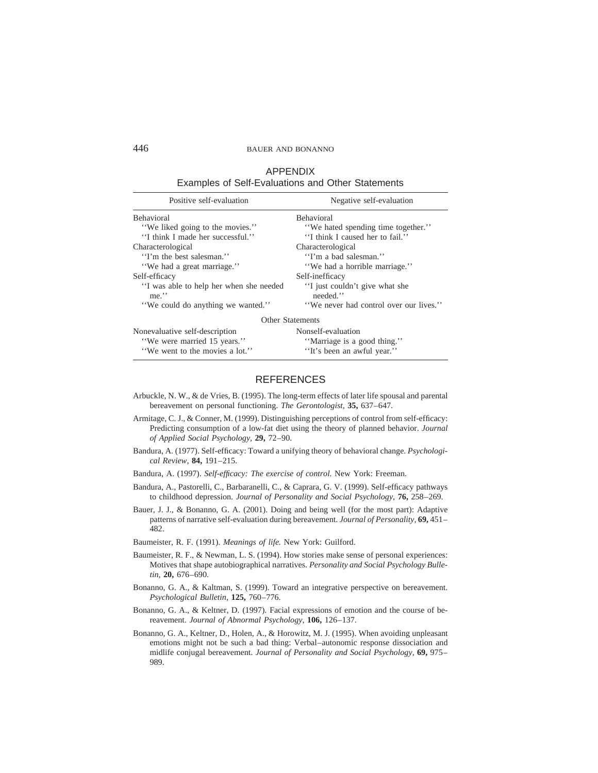# APPENDIX Examples of Self-Evaluations and Other Statements

| Positive self-evaluation                                                                        | Negative self-evaluation                                                        |
|-------------------------------------------------------------------------------------------------|---------------------------------------------------------------------------------|
| <b>Behavioral</b>                                                                               | <b>Behavioral</b>                                                               |
| "We liked going to the movies."                                                                 | "We hated spending time together."                                              |
| "I think I made her successful."                                                                | "I think I caused her to fail."                                                 |
| Characterological                                                                               | Characterological                                                               |
| "I'm the best salesman."                                                                        | "I'm a bad salesman."                                                           |
| "We had a great marriage."                                                                      | "We had a horrible marriage."                                                   |
| Self-efficacy                                                                                   | Self-inefficacy                                                                 |
| "I was able to help her when she needed<br>me."                                                 | "I just couldn't give what she<br>needed."                                      |
| "We could do anything we wanted."                                                               | "We never had control over our lives."                                          |
| <b>Other Statements</b>                                                                         |                                                                                 |
| Nonevaluative self-description<br>"We were married 15 years."<br>"We went to the movies a lot." | Nonself-evaluation<br>"Marriage is a good thing."<br>"It's been an awful year." |

## **REFERENCES**

- Arbuckle, N. W., & de Vries, B. (1995). The long-term effects of later life spousal and parental bereavement on personal functioning. *The Gerontologist,* **35,** 637–647.
- Armitage, C. J., & Conner, M. (1999). Distinguishing perceptions of control from self-efficacy: Predicting consumption of a low-fat diet using the theory of planned behavior. *Journal of Applied Social Psychology,* **29,** 72–90.
- Bandura, A. (1977). Self-efficacy: Toward a unifying theory of behavioral change. *Psychological Review,* **84,** 191–215.
- Bandura, A. (1997). *Self-efficacy: The exercise of control.* New York: Freeman.
- Bandura, A., Pastorelli, C., Barbaranelli, C., & Caprara, G. V. (1999). Self-efficacy pathways to childhood depression. *Journal of Personality and Social Psychology,* **76,** 258–269.
- Bauer, J. J., & Bonanno, G. A. (2001). Doing and being well (for the most part): Adaptive patterns of narrative self-evaluation during bereavement. *Journal of Personality,* **69,** 451– 482.
- Baumeister, R. F. (1991). *Meanings of life.* New York: Guilford.
- Baumeister, R. F., & Newman, L. S. (1994). How stories make sense of personal experiences: Motives that shape autobiographical narratives. *Personality and Social Psychology Bulletin,* **20,** 676–690.
- Bonanno, G. A., & Kaltman, S. (1999). Toward an integrative perspective on bereavement. *Psychological Bulletin,* **125,** 760–776.
- Bonanno, G. A., & Keltner, D. (1997). Facial expressions of emotion and the course of bereavement. *Journal of Abnormal Psychology,* **106,** 126–137.
- Bonanno, G. A., Keltner, D., Holen, A., & Horowitz, M. J. (1995). When avoiding unpleasant emotions might not be such a bad thing: Verbal–autonomic response dissociation and midlife conjugal bereavement. *Journal of Personality and Social Psychology,* **69,** 975– 989.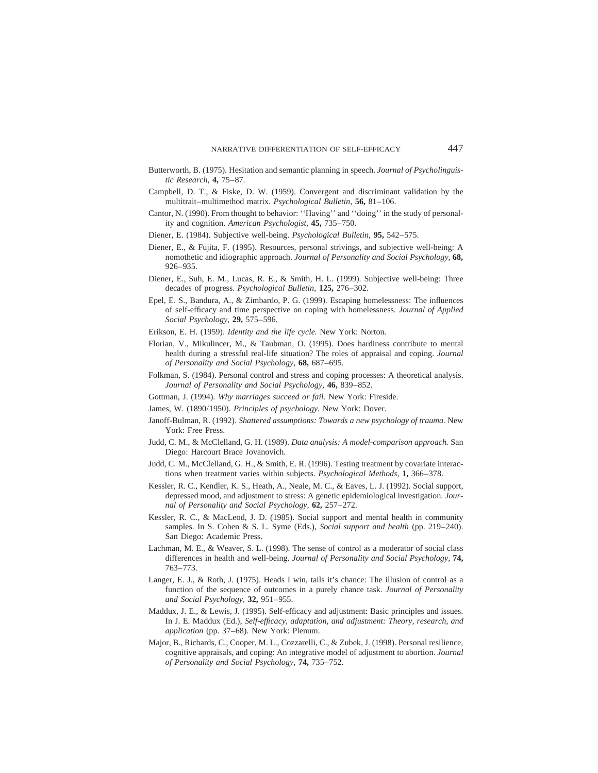- Butterworth, B. (1975). Hesitation and semantic planning in speech. *Journal of Psycholinguistic Research,* **4,** 75–87.
- Campbell, D. T., & Fiske, D. W. (1959). Convergent and discriminant validation by the multitrait–multimethod matrix. *Psychological Bulletin,* **56,** 81–106.
- Cantor, N. (1990). From thought to behavior: ''Having'' and ''doing'' in the study of personality and cognition. *American Psychologist,* **45,** 735–750.
- Diener, E. (1984). Subjective well-being. *Psychological Bulletin,* **95,** 542–575.
- Diener, E., & Fujita, F. (1995). Resources, personal strivings, and subjective well-being: A nomothetic and idiographic approach. *Journal of Personality and Social Psychology,* **68,** 926–935.
- Diener, E., Suh, E. M., Lucas, R. E., & Smith, H. L. (1999). Subjective well-being: Three decades of progress. *Psychological Bulletin,* **125,** 276–302.
- Epel, E. S., Bandura, A., & Zimbardo, P. G. (1999). Escaping homelessness: The influences of self-efficacy and time perspective on coping with homelessness. *Journal of Applied Social Psychology,* **29,** 575–596.
- Erikson, E. H. (1959). *Identity and the life cycle.* New York: Norton.
- Florian, V., Mikulincer, M., & Taubman, O. (1995). Does hardiness contribute to mental health during a stressful real-life situation? The roles of appraisal and coping. *Journal of Personality and Social Psychology,* **68,** 687–695.
- Folkman, S. (1984). Personal control and stress and coping processes: A theoretical analysis. *Journal of Personality and Social Psychology,* **46,** 839–852.
- Gottman, J. (1994). *Why marriages succeed or fail.* New York: Fireside.
- James, W. (1890/1950). *Principles of psychology.* New York: Dover.
- Janoff-Bulman, R. (1992). *Shattered assumptions: Towards a new psychology of trauma.* New York: Free Press.
- Judd, C. M., & McClelland, G. H. (1989). *Data analysis: A model-comparison approach.* San Diego: Harcourt Brace Jovanovich.
- Judd, C. M., McClelland, G. H., & Smith, E. R. (1996). Testing treatment by covariate interactions when treatment varies within subjects. *Psychological Methods,* **1,** 366–378.
- Kessler, R. C., Kendler, K. S., Heath, A., Neale, M. C., & Eaves, L. J. (1992). Social support, depressed mood, and adjustment to stress: A genetic epidemiological investigation. *Journal of Personality and Social Psychology,* **62,** 257–272.
- Kessler, R. C., & MacLeod, J. D. (1985). Social support and mental health in community samples. In S. Cohen & S. L. Syme (Eds.), *Social support and health* (pp. 219–240). San Diego: Academic Press.
- Lachman, M. E., & Weaver, S. L. (1998). The sense of control as a moderator of social class differences in health and well-being. *Journal of Personality and Social Psychology,* **74,** 763–773.
- Langer, E. J., & Roth, J. (1975). Heads I win, tails it's chance: The illusion of control as a function of the sequence of outcomes in a purely chance task. *Journal of Personality and Social Psychology,* **32,** 951–955.
- Maddux, J. E., & Lewis, J. (1995). Self-efficacy and adjustment: Basic principles and issues. In J. E. Maddux (Ed.), *Self-efficacy, adaptation, and adjustment: Theory, research, and application* (pp. 37–68). New York: Plenum.
- Major, B., Richards, C., Cooper, M. L., Cozzarelli, C., & Zubek, J. (1998). Personal resilience, cognitive appraisals, and coping: An integrative model of adjustment to abortion. *Journal of Personality and Social Psychology,* **74,** 735–752.